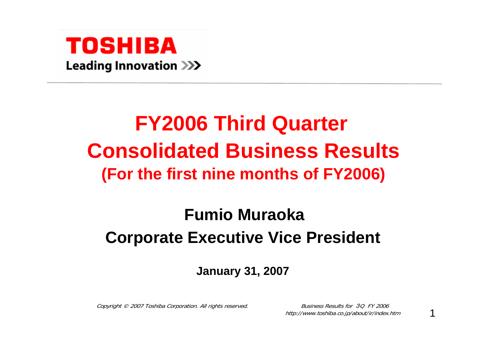

## **FY2006 Third Quarter Consolidated Business Results (For the first nine months of FY2006)**

## **Fumio MuraokaCorporate Executive Vice President**

**January 31, 2007**

Copyright © 2007 Toshiba Corporation. All rights reserved.

**Business Results for 30 FY 2006** http://www.toshiba.co.jp/about/ir/index.htm

1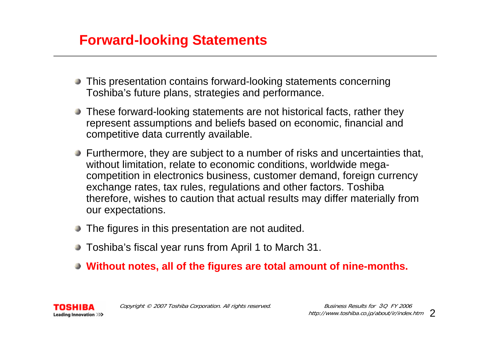#### **Forward-looking Statements**

- This presentation contains forward-looking statements concerning Toshiba's future plans, strategies and performance.
- These forward-looking statements are not historical facts, rather they represent assumptions and beliefs based on economic, financial and competitive data currently available.
- Furthermore, they are subject to a number of risks and uncertainties that, without limitation, relate to economic conditions, worldwide megacompetition in electronics business, customer demand, foreign currency exchange rates, tax rules, regulations and other factors. Toshiba therefore, wishes to caution that actual results may differ materially from our expectations.
- The figures in this presentation are not audited.
- Toshiba's fiscal year runs from April 1 to March 31.
- **Without notes, all of the figures are total amount of nine-months.**

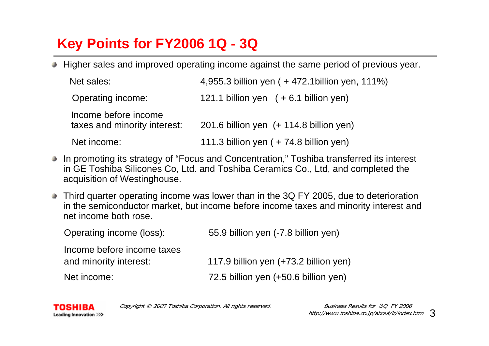## **Key Points for FY2006 1Q - 3Q**

Higher sales and improved operating income against the same period of previous year.

| Net sales:                                           | 4,955.3 billion yen ( + 472.1 billion yen, 111%) |
|------------------------------------------------------|--------------------------------------------------|
| Operating income:                                    | 121.1 billion yen $(+6.1)$ billion yen)          |
| Income before income<br>taxes and minority interest: | 201.6 billion yen $(+ 114.8$ billion yen)        |
| Net income:                                          | 111.3 billion yen ( + 74.8 billion yen)          |

- In promoting its strategy of "Focus and Concentration," Toshiba transferred its interest in GE Toshiba Silicones Co, Ltd. and Toshiba Ceramics Co., Ltd, and completed the acquisition of Westinghouse.
- Third quarter operating income was lower than in the 3Q FY 2005, due to deterioration in the semiconductor market, but income before income taxes and minority interest and net income both rose.

Operating income (loss): 55.9 billion yen (-7.8 billion yen)

Income before income taxes

and minority interest: 117.9 billion yen (+73.2 billion yen)

Net income: 72.5 billion yen (+50.6 billion yen)



Copyright © 2007 Toshiba Corporation. All rights reserved.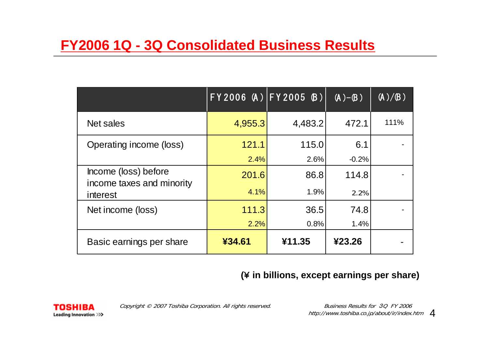### **FY2006 1Q - 3Q Consolidated Business Results**

|                                                               | FY2006 (A) FY2005 (B) |         | $(A)-(B)$ | (A)/B) |
|---------------------------------------------------------------|-----------------------|---------|-----------|--------|
| Net sales                                                     | 4,955.3               | 4,483.2 | 472.1     | 111%   |
| Operating income (loss)                                       | 121.1                 | 115.0   | 6.1       |        |
|                                                               | 2.4%                  | 2.6%    | $-0.2%$   |        |
| Income (loss) before<br>income taxes and minority<br>interest | 201.6                 | 86.8    | 114.8     |        |
|                                                               | 4.1%                  | 1.9%    | 2.2%      |        |
| Net income (loss)                                             | 111.3                 | 36.5    | 74.8      |        |
|                                                               | 2.2%                  | 0.8%    | 1.4%      |        |
| Basic earnings per share                                      | ¥34.61                | ¥11.35  | ¥23.26    |        |

#### **(**¥ **in billions, except earnings per share)**

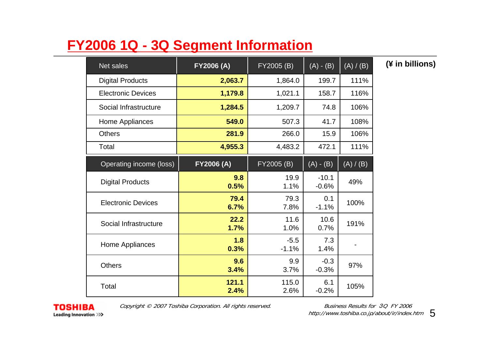## **FY2006 1Q - 3Q Segment Information**

| Net sales                 | FY2006 (A)        | FY2005 (B)        | $(A) - (B)$        | (A) / (B) | (¥ in billions) |
|---------------------------|-------------------|-------------------|--------------------|-----------|-----------------|
| <b>Digital Products</b>   | 2,063.7           | 1,864.0           | 199.7              | 111%      |                 |
| <b>Electronic Devices</b> | 1,179.8           | 1,021.1           | 158.7              | 116%      |                 |
| Social Infrastructure     | 1,284.5           | 1,209.7           | 74.8               | 106%      |                 |
| Home Appliances           | 549.0             | 507.3             | 41.7               | 108%      |                 |
| <b>Others</b>             | 281.9             | 266.0             | 15.9               | 106%      |                 |
| Total                     | 4,955.3           | 4,483.2           | 472.1              | 111%      |                 |
| Operating income (loss)   | <b>FY2006 (A)</b> | FY2005 (B)        | $(A) - (B)$        | (A) / (B) |                 |
| <b>Digital Products</b>   | 9.8<br>0.5%       | 19.9<br>1.1%      | $-10.1$<br>$-0.6%$ | 49%       |                 |
| <b>Electronic Devices</b> | 79.4<br>6.7%      | 79.3<br>7.8%      | 0.1<br>$-1.1%$     | 100%      |                 |
| Social Infrastructure     | 22.2<br>1.7%      | 11.6<br>1.0%      | 10.6<br>0.7%       | 191%      |                 |
| Home Appliances           | 1.8<br>0.3%       | $-5.5$<br>$-1.1%$ | 7.3<br>1.4%        |           |                 |
| <b>Others</b>             | 9.6<br>3.4%       | 9.9<br>3.7%       | $-0.3$<br>$-0.3%$  | 97%       |                 |
| Total                     | 121.1<br>2.4%     | 115.0<br>2.6%     | 6.1<br>$-0.2%$     | 105%      |                 |



Copyright © 2007 Toshiba Corporation. All rights reserved.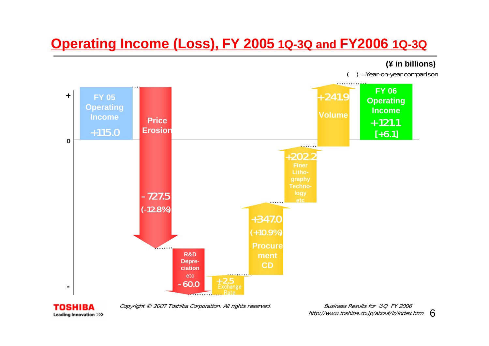## **Operating Income (Loss), FY 2005 1Q-3Q and FY2006 1Q-3Q**



TOSHIBA Leading Innovation >>> Copyright © 2007 Toshiba Corporation. All rights reserved.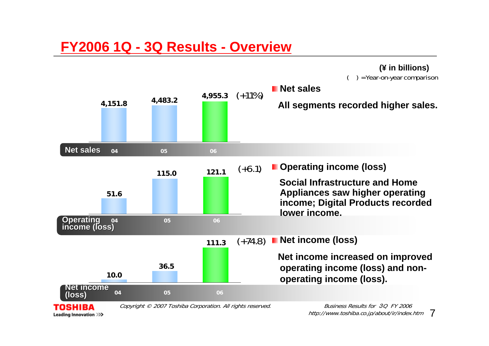#### **FY2006 1Q - 3Q Results - Overview**

Leading Innovation >>>



http://www.toshiba.co.jp/about/ir/index.htm 7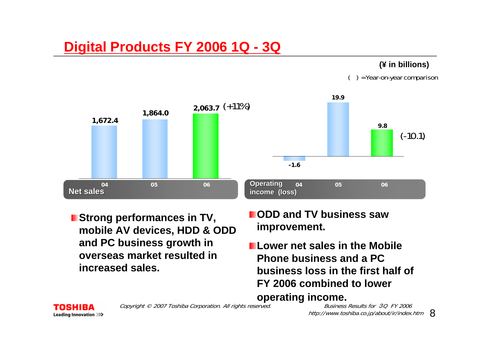## **Digital Products FY 2006 1Q - 3Q**

#### **(¥ in billions)**

( ) = Year-on-year comparison



- **Strong performances in TV, mobile AV devices, HDD & ODD and PC business growth in overseas market resulted in increased sales.**
- **ODD and TV business saw improvement.**

**operating income.**

**Lower net sales in the Mobile Phone business and a PC business loss in the first half of FY 2006 combined to lower** 

Copyright © 2007 Toshiba Corporation. All rights reserved.

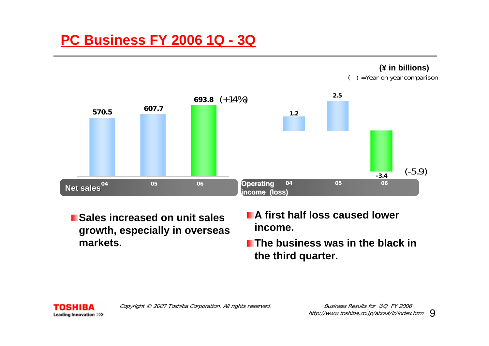## **PC Business FY 2006 1Q - 3Q**



- **Sales increased on unit sales growth, especially in overseas markets.**
- **A first half loss caused lower income.**
- **The business was in the black in the third quarter.**



**(¥ in billions)**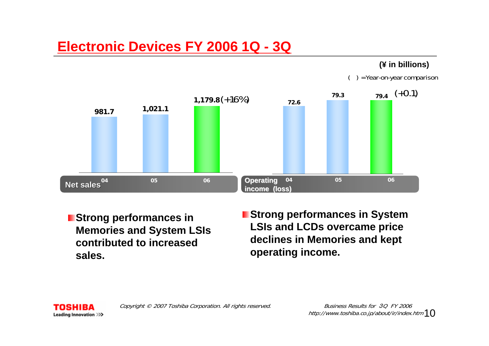#### **Electronic Devices FY 2006 1Q - 3Q**

#### **(¥ in billions)**

( ) = Year-on-year comparison



**Strong performances in Memories and System LSIs contributed to increased sales.**

**E** Strong performances in System **LSIs and LCDs overcame price declines in Memories and kept operating income.** 

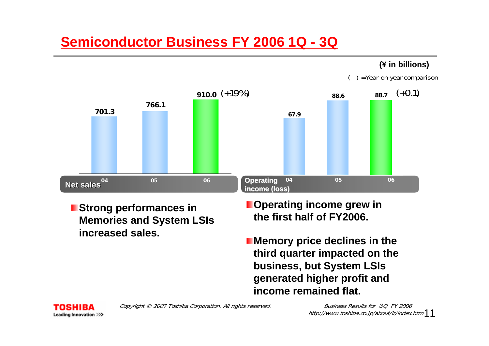## **Semiconductor Business FY 2006 1Q - 3Q**

#### **(¥ in billions)**

( ) = Year-on-year comparison



- **Strong performances in Memories and System LSIs increased sales.**
- **Operating income grew in the first half of FY2006.**
- **Memory price declines in the third quarter impacted on the business, but System LSIs generated higher profit and income remained flat.**



Copyright © 2007 Toshiba Corporation. All rights reserved.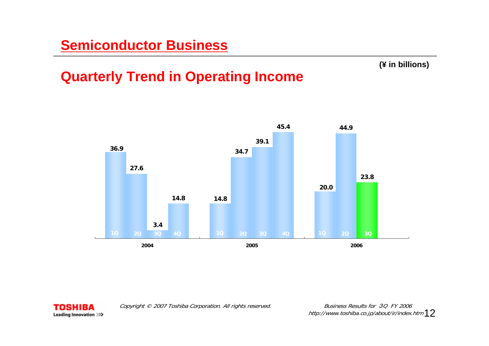#### **(¥ in billions)**

## **Quarterly Trend in Operating Income**





Copyright © 2007 Toshiba Corporation. All rights reserved.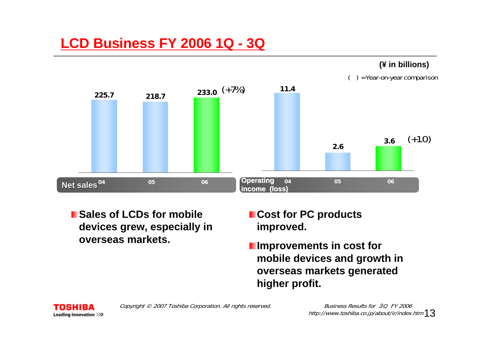## **LCD Business FY 2006 1Q - 3Q**

#### **(¥ in billions)**





**Example 3 Sales of LCDs for mobile devices grew, especially in overseas markets.**

- **Cost for PC products improved.**
- **Improvements in cost for mobile devices and growth in overseas markets generated higher profit.**

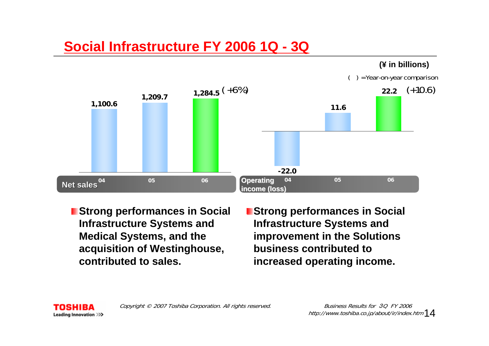## **Social Infrastructure FY 2006 1Q - 3Q**



- **Strong performances in Social Infrastructure Systems and Medical Systems, and the acquisition of Westinghouse, contributed to sales.**
- **Extrang performances in Social Infrastructure Systems and improvement in the Solutions business contributed to increased operating income.**

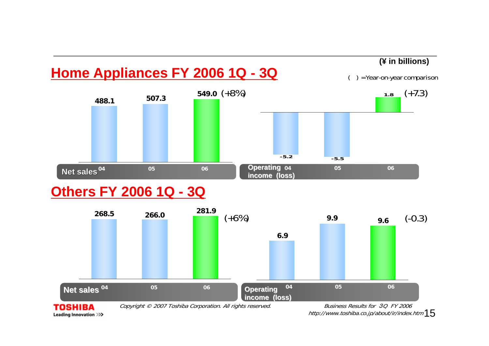

#### **Others FY 2006 1Q - 3Q**

Leading Innovation >>>



http://www.toshiba.co.jp/about/ir/index.htm  $15$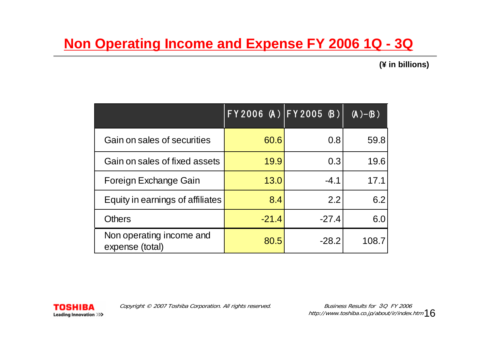## **Non Operating Income and Expense FY 2006 1Q - 3Q**

**(¥ in billions)**

|                                             | FY2006(A) FY2005(B) |         | $(\overline{A})-\overline{B})'$ |
|---------------------------------------------|---------------------|---------|---------------------------------|
| Gain on sales of securities                 | 60.6                | 0.8     | 59.8                            |
| Gain on sales of fixed assets               | 19.9                | 0.3     | 19.6                            |
| Foreign Exchange Gain                       | 13.0                | $-4.1$  | 17.1                            |
| Equity in earnings of affiliates            | 8.4                 | 2.2     | 6.2                             |
| <b>Others</b>                               | $-21.4$             | $-27.4$ | 6.0                             |
| Non operating income and<br>expense (total) | 80.5                | $-28.2$ | 108.7                           |

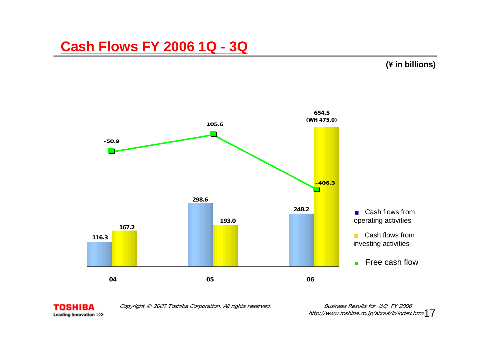#### **Cash Flows FY 2006 1Q - 3Q**

#### **(¥ in billions)**





Copyright © 2007 Toshiba Corporation. All rights reserved.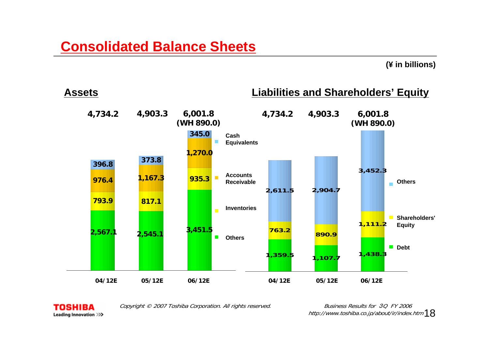#### **(¥ in billions)**





Copyright © 2007 Toshiba Corporation. All rights reserved.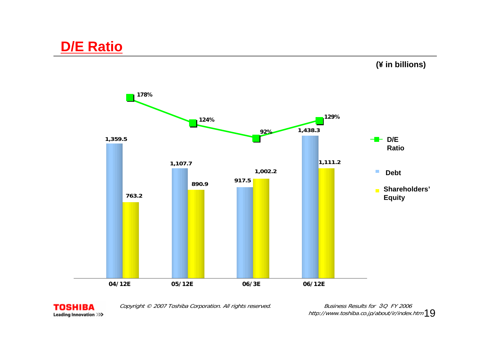#### **(¥ in billions)**





Copyright © 2007 Toshiba Corporation. All rights reserved.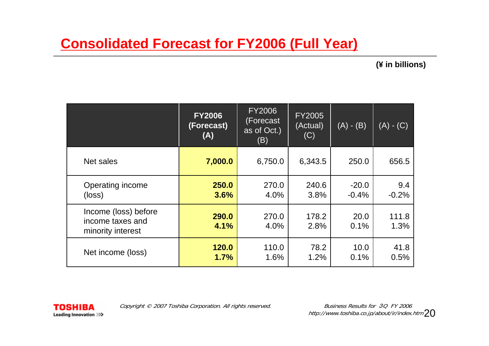#### **Consolidated Forecast for FY2006 (Full Year)**

**(¥ in billions)**

|                                                               | <b>FY2006</b><br>(Forecast)<br>(A) | <b>FY2006</b><br>(Forecast<br>as of Oct.)<br>(B) | <b>FY2005</b><br>(Actual)<br>(C) | $(A) - (B)$        | $(A) - (C)$    |
|---------------------------------------------------------------|------------------------------------|--------------------------------------------------|----------------------------------|--------------------|----------------|
| Net sales                                                     | 7,000.0                            | 6,750.0                                          | 6,343.5                          | 250.0              | 656.5          |
| Operating income<br>$(\text{loss})$                           | 250.0<br>3.6%                      | 270.0<br>4.0%                                    | 240.6<br>3.8%                    | $-20.0$<br>$-0.4%$ | 9.4<br>$-0.2%$ |
| Income (loss) before<br>income taxes and<br>minority interest | 290.0<br>4.1%                      | 270.0<br>4.0%                                    | 178.2<br>2.8%                    | 20.0<br>0.1%       | 111.8<br>1.3%  |
| Net income (loss)                                             | 120.0<br>1.7%                      | 110.0<br>1.6%                                    | 78.2<br>1.2%                     | 10.0<br>0.1%       | 41.8<br>0.5%   |



Copyright © 2007 Toshiba Corporation. All rights reserved.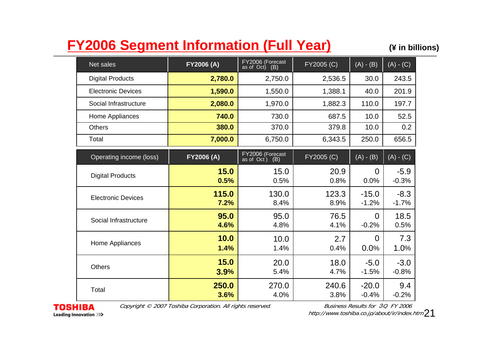## **FY2006 Segment Information (Full Year) (¥ in billions)**

| Net sales                 | FY2006 (A)    | FY2006 (Forecast<br>(B)<br>as of Oct) | FY2005 (C)    | $(A) - (B)$            | $(A) - (C)$       |
|---------------------------|---------------|---------------------------------------|---------------|------------------------|-------------------|
| <b>Digital Products</b>   | 2,780.0       | 2,750.0                               | 2,536.5       | 30.0                   | 243.5             |
| <b>Electronic Devices</b> | 1,590.0       | 1,550.0                               | 1,388.1       | 40.0                   | 201.9             |
| Social Infrastructure     | 2,080.0       | 1,970.0                               | 1,882.3       | 110.0                  | 197.7             |
| Home Appliances           | 740.0         | 730.0                                 | 687.5         | 10.0                   | 52.5              |
| <b>Others</b>             | 380.0         | 370.0                                 | 379.8         | 10.0                   | 0.2               |
| Total                     | 7,000.0       | 6,750.0                               | 6,343.5       | 250.0                  | 656.5             |
| Operating income (loss)   | FY2006 (A)    | FY2006 (Forecast<br>(B)<br>as of Oct) | FY2005 (C)    | $(A) - (B)$            | $(A)$ - $(C)$     |
| <b>Digital Products</b>   | 15.0<br>0.5%  | 15.0<br>0.5%                          | 20.9<br>0.8%  | $\Omega$<br>0.0%       | $-5.9$<br>$-0.3%$ |
| <b>Electronic Devices</b> | 115.0<br>7.2% | 130.0<br>8.4%                         | 123.3<br>8.9% | $-15.0$<br>$-1.2%$     | $-8.3$<br>$-1.7%$ |
| Social Infrastructure     | 95.0<br>4.6%  | 95.0<br>4.8%                          | 76.5<br>4.1%  | $\Omega$<br>$-0.2%$    | 18.5<br>0.5%      |
| Home Appliances           | 10.0<br>1.4%  | 10.0<br>1.4%                          | 2.7<br>0.4%   | $\overline{0}$<br>0.0% | 7.3<br>1.0%       |
| <b>Others</b>             | 15.0<br>3.9%  | 20.0<br>5.4%                          | 18.0<br>4.7%  | $-5.0$<br>$-1.5%$      | $-3.0$<br>$-0.8%$ |
| Total                     | 250.0<br>3.6% | 270.0<br>4.0%                         | 240.6<br>3.8% | $-20.0$<br>$-0.4%$     | 9.4<br>$-0.2%$    |



Copyright © 2007 Toshiba Corporation. All rights reserved.